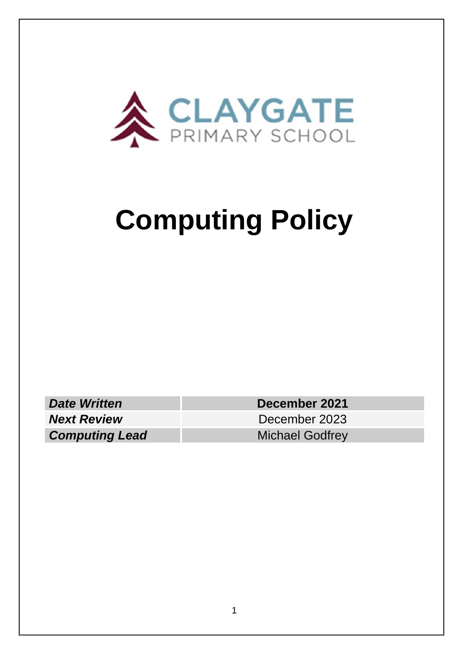

# **Computing Policy**

**Date Written December 2021 Next Review** December 2023

**Computing Lead** Michael Godfrey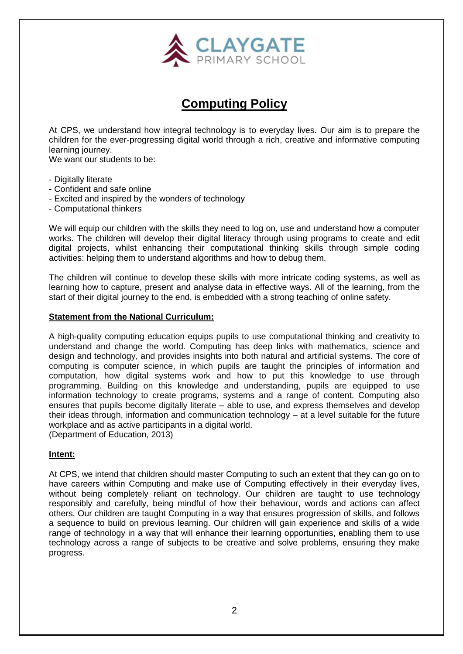

# **Computing Policy**

At CPS, we understand how integral technology is to everyday lives. Our aim is to prepare the children for the ever-progressing digital world through a rich, creative and informative computing learning journey.

We want our students to be:

- Digitally literate
- Confident and safe online
- Excited and inspired by the wonders of technology
- Computational thinkers

We will equip our children with the skills they need to log on, use and understand how a computer works. The children will develop their digital literacy through using programs to create and edit digital projects, whilst enhancing their computational thinking skills through simple coding activities: helping them to understand algorithms and how to debug them.

The children will continue to develop these skills with more intricate coding systems, as well as learning how to capture, present and analyse data in effective ways. All of the learning, from the start of their digital journey to the end, is embedded with a strong teaching of online safety.

#### **Statement from the National Curriculum:**

A high-quality computing education equips pupils to use computational thinking and creativity to understand and change the world. Computing has deep links with mathematics, science and design and technology, and provides insights into both natural and artificial systems. The core of computing is computer science, in which pupils are taught the principles of information and computation, how digital systems work and how to put this knowledge to use through programming. Building on this knowledge and understanding, pupils are equipped to use information technology to create programs, systems and a range of content. Computing also ensures that pupils become digitally literate – able to use, and express themselves and develop their ideas through, information and communication technology – at a level suitable for the future workplace and as active participants in a digital world. (Department of Education, 2013)

# **Intent:**

At CPS, we intend that children should master Computing to such an extent that they can go on to have careers within Computing and make use of Computing effectively in their everyday lives, without being completely reliant on technology. Our children are taught to use technology responsibly and carefully, being mindful of how their behaviour, words and actions can affect others. Our children are taught Computing in a way that ensures progression of skills, and follows a sequence to build on previous learning. Our children will gain experience and skills of a wide range of technology in a way that will enhance their learning opportunities, enabling them to use technology across a range of subjects to be creative and solve problems, ensuring they make progress.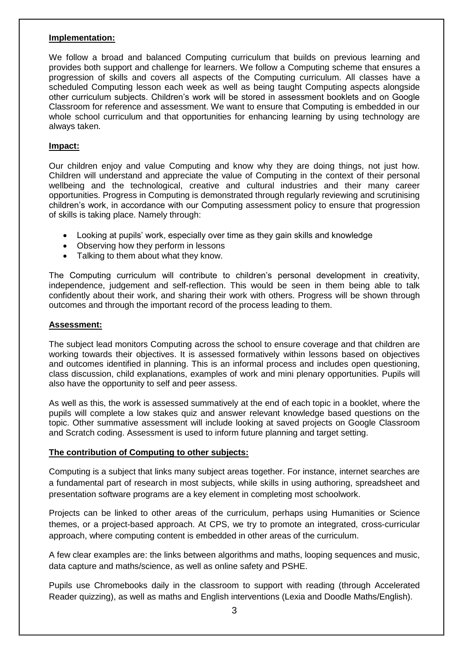#### **Implementation:**

We follow a broad and balanced Computing curriculum that builds on previous learning and provides both support and challenge for learners. We follow a Computing scheme that ensures a progression of skills and covers all aspects of the Computing curriculum. All classes have a scheduled Computing lesson each week as well as being taught Computing aspects alongside other curriculum subjects. Children's work will be stored in assessment booklets and on Google Classroom for reference and assessment. We want to ensure that Computing is embedded in our whole school curriculum and that opportunities for enhancing learning by using technology are always taken.

#### **Impact:**

Our children enjoy and value Computing and know why they are doing things, not just how. Children will understand and appreciate the value of Computing in the context of their personal wellbeing and the technological, creative and cultural industries and their many career opportunities. Progress in Computing is demonstrated through regularly reviewing and scrutinising children's work, in accordance with our Computing assessment policy to ensure that progression of skills is taking place. Namely through:

- Looking at pupils' work, especially over time as they gain skills and knowledge
- Observing how they perform in lessons
- Talking to them about what they know.

The Computing curriculum will contribute to children's personal development in creativity, independence, judgement and self-reflection. This would be seen in them being able to talk confidently about their work, and sharing their work with others. Progress will be shown through outcomes and through the important record of the process leading to them.

#### **Assessment:**

The subject lead monitors Computing across the school to ensure coverage and that children are working towards their objectives. It is assessed formatively within lessons based on objectives and outcomes identified in planning. This is an informal process and includes open questioning, class discussion, child explanations, examples of work and mini plenary opportunities. Pupils will also have the opportunity to self and peer assess.

As well as this, the work is assessed summatively at the end of each topic in a booklet, where the pupils will complete a low stakes quiz and answer relevant knowledge based questions on the topic. Other summative assessment will include looking at saved projects on Google Classroom and Scratch coding. Assessment is used to inform future planning and target setting.

#### **The contribution of Computing to other subjects:**

Computing is a subject that links many subject areas together. For instance, internet searches are a fundamental part of research in most subjects, while skills in using authoring, spreadsheet and presentation software programs are a key element in completing most schoolwork.

Projects can be linked to other areas of the curriculum, perhaps using Humanities or Science themes, or a project-based approach. At CPS, we try to promote an integrated, cross-curricular approach, where computing content is embedded in other areas of the curriculum.

A few clear examples are: the links between algorithms and maths, looping sequences and music, data capture and maths/science, as well as online safety and PSHE.

Pupils use Chromebooks daily in the classroom to support with reading (through Accelerated Reader quizzing), as well as maths and English interventions (Lexia and Doodle Maths/English).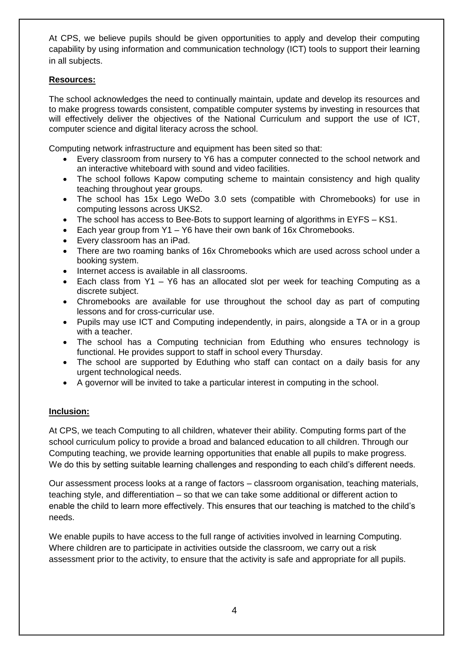At CPS, we believe pupils should be given opportunities to apply and develop their computing capability by using information and communication technology (ICT) tools to support their learning in all subjects.

## **Resources:**

The school acknowledges the need to continually maintain, update and develop its resources and to make progress towards consistent, compatible computer systems by investing in resources that will effectively deliver the objectives of the National Curriculum and support the use of ICT, computer science and digital literacy across the school.

Computing network infrastructure and equipment has been sited so that:

- Every classroom from nursery to Y6 has a computer connected to the school network and an interactive whiteboard with sound and video facilities.
- The school follows Kapow computing scheme to maintain consistency and high quality teaching throughout year groups.
- The school has 15x Lego WeDo 3.0 sets (compatible with Chromebooks) for use in computing lessons across UKS2.
- The school has access to Bee-Bots to support learning of algorithms in EYFS KS1.
- Each year group from Y1 Y6 have their own bank of 16x Chromebooks.
- Every classroom has an iPad.
- There are two roaming banks of 16x Chromebooks which are used across school under a booking system.
- Internet access is available in all classrooms.
- Each class from Y1 Y6 has an allocated slot per week for teaching Computing as a discrete subject.
- Chromebooks are available for use throughout the school day as part of computing lessons and for cross-curricular use.
- Pupils may use ICT and Computing independently, in pairs, alongside a TA or in a group with a teacher.
- The school has a Computing technician from Eduthing who ensures technology is functional. He provides support to staff in school every Thursday.
- The school are supported by Eduthing who staff can contact on a daily basis for any urgent technological needs.
- A governor will be invited to take a particular interest in computing in the school.

# **Inclusion:**

At CPS, we teach Computing to all children, whatever their ability. Computing forms part of the school curriculum policy to provide a broad and balanced education to all children. Through our Computing teaching, we provide learning opportunities that enable all pupils to make progress. We do this by setting suitable learning challenges and responding to each child's different needs.

Our assessment process looks at a range of factors – classroom organisation, teaching materials, teaching style, and differentiation – so that we can take some additional or different action to enable the child to learn more effectively. This ensures that our teaching is matched to the child's needs.

We enable pupils to have access to the full range of activities involved in learning Computing. Where children are to participate in activities outside the classroom, we carry out a risk assessment prior to the activity, to ensure that the activity is safe and appropriate for all pupils.